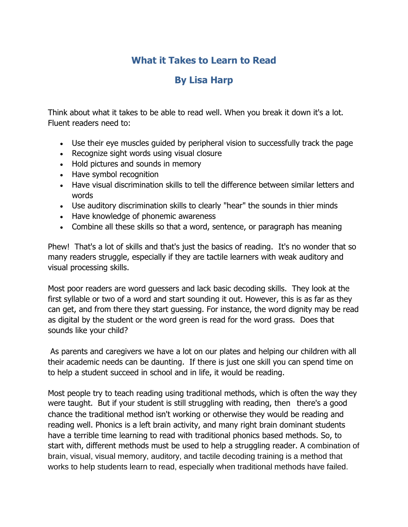# **What it Takes to Learn to Read**

# **By Lisa Harp**

Think about what it takes to be able to read well. When you break it down it's a lot. Fluent readers need to:

- Use their eye muscles guided by peripheral vision to successfully track the page
- Recognize sight words using visual closure
- Hold pictures and sounds in memory
- Have symbol recognition
- Have visual discrimination skills to tell the difference between similar letters and words
- Use auditory discrimination skills to clearly "hear" the sounds in thier minds
- Have knowledge of phonemic awareness
- Combine all these skills so that a word, sentence, or paragraph has meaning

Phew! That's a lot of skills and that's just the basics of reading. It's no wonder that so many readers struggle, especially if they are tactile learners with weak auditory and visual processing skills.

Most poor readers are word guessers and lack basic decoding skills. They look at the first syllable or two of a word and start sounding it out. However, this is as far as they can get, and from there they start guessing. For instance, the word dignity may be read as digital by the student or the word green is read for the word grass. Does that sounds like your child?

As parents and caregivers we have a lot on our plates and helping our children with all their academic needs can be daunting. If there is just one skill you can spend time on to help a student succeed in school and in life, it would be reading.

Most people try to teach reading using traditional methods, which is often the way they were taught. But if your student is still struggling with reading, then there's a good chance the traditional method isn't working or otherwise they would be reading and reading well. Phonics is a left brain activity, and many right brain dominant students have a terrible time learning to read with traditional phonics based methods. So, to start with, different methods must be used to help a struggling reader. A combination of brain, visual, visual memory, auditory, and tactile decoding training is a method that works to help students learn to read, especially when traditional methods have failed.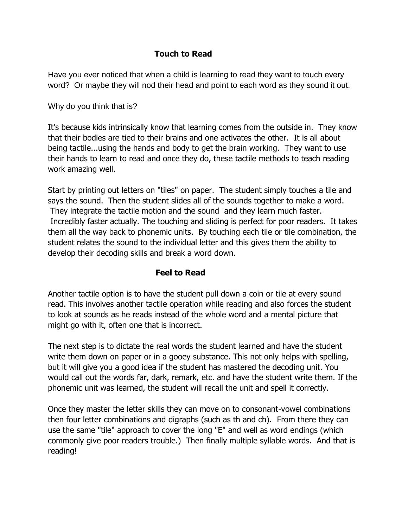### **Touch to Read**

Have you ever noticed that when a child is learning to read they want to touch every word? Or maybe they will nod their head and point to each word as they sound it out.

Why do you think that is?

It's because kids intrinsically know that learning comes from the outside in. They know that their bodies are tied to their brains and one activates the other. It is all about being tactile...using the hands and body to get the brain working. They want to use their hands to learn to read and once they do, these tactile methods to teach reading work amazing well.

Start by printing out letters on "tiles" on paper. The student simply touches a tile and says the sound. Then the student slides all of the sounds together to make a word. They integrate the tactile motion and the sound and they learn much faster. Incredibly faster actually. The touching and sliding is perfect for poor readers. It takes them all the way back to phonemic units. By touching each tile or tile combination, the student relates the sound to the individual letter and this gives them the ability to develop their decoding skills and break a word down.

#### **Feel to Read**

Another tactile option is to have the student pull down a coin or tile at every sound read. This involves another tactile operation while reading and also forces the student to look at sounds as he reads instead of the whole word and a mental picture that might go with it, often one that is incorrect.

The next step is to dictate the real words the student learned and have the student write them down on paper or in a gooey substance. This not only helps with spelling, but it will give you a good idea if the student has mastered the decoding unit. You would call out the words far, dark, remark, etc. and have the student write them. If the phonemic unit was learned, the student will recall the unit and spell it correctly.

Once they master the letter skills they can move on to consonant-vowel combinations then four letter combinations and digraphs (such as th and ch). From there they can use the same "tile" approach to cover the long "E" and well as word endings (which commonly give poor readers trouble.) Then finally multiple syllable words. And that is reading!